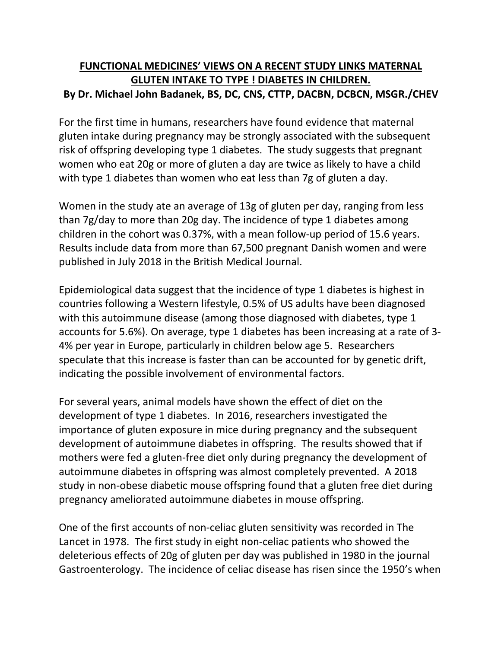## **FUNCTIONAL MEDICINES' VIEWS ON A RECENT STUDY LINKS MATERNAL GLUTEN INTAKETO TYPE ! DIABETES IN CHILDREN. By Dr. Michael John Badanek, BS, DC, CNS, CTTP, DACBN, DCBCN, MSGR./CHEV**

For the first time in humans, researchers have found evidence that maternal gluten intake during pregnancy may be strongly associated with the subsequent risk of offspring developing type 1 diabetes. The study suggests that pregnant women who eat 20g or more of gluten a day are twice as likely to have a child with type 1 diabetes than women who eat less than 7g of gluten a day.

Women in the study ate an average of 13g of gluten per day, ranging from less than 7g/day to more than 20g day. The incidence of type 1 diabetes among children in the cohort was 0.37%, with a mean follow-up period of 15.6 years. Results include data from more than 67,500 pregnant Danish women and were published in July 2018 in the British Medical Journal.

Epidemiological data suggest that the incidence of type 1 diabetes is highest in countries following a Western lifestyle, 0.5% of US adults have been diagnosed with this autoimmune disease (among those diagnosed with diabetes, type 1 accounts for 5.6%). On average, type 1 diabetes has been increasing at a rate of 3- 4% per year in Europe, particularly in children below age 5. Researchers speculate that this increase is faster than can be accounted for by genetic drift, indicating the possible involvement of environmental factors.

For several years, animal models have shown the effect of diet on the development of type 1 diabetes. In 2016, researchers investigated the importance of gluten exposure in mice during pregnancy and the subsequent development of autoimmune diabetes in offspring. The results showed that if mothers were fed a gluten-free diet only during pregnancy the development of autoimmune diabetes in offspring was almost completely prevented. A 2018 study in non-obese diabetic mouse offspring found that a gluten free diet during pregnancy ameliorated autoimmune diabetes in mouse offspring.

One of the first accounts of non-celiac gluten sensitivity was recorded in The Lancet in 1978. The first study in eight non-celiac patients who showed the deleterious effects of 20g of gluten per day was published in 1980 in the journal Gastroenterology. The incidence of celiac disease has risen since the 1950's when